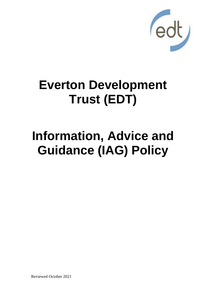

# **Everton Development Trust (EDT)**

# **Information, Advice and Guidance (IAG) Policy**

Reviewed October 2021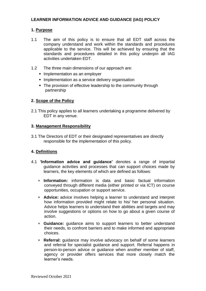## **LEARNER INFORMATION ADVICE AND GUIDANCE (IAG) POLICY**

## **1. Purpose**

- 1.1 The aim of this policy is to ensure that all EDT staff across the company understand and work within the standards and procedures applicable to the service. This will be achieved by ensuring that the standards and procedures detailed in this policy underpin all IAG activities undertaken EDT.
- 1.2 The three main dimensions of our approach are:
	- **E** Implementation as an employer
	- **E** Implementation as a service delivery organisation
	- **•** The provision of effective leadership to the community through partnership

## **2. Scope of the Policy**

2.1 This policy applies to all learners undertaking a programme delivered by EDT in any venue.

## **3. Management Responsibility**

3.1 The Directors of EDT or their designated representatives are directly responsible for the implementation of this policy.

## **4. Definitions**

- 4.1 **'Information advice and guidance'** denotes a range of impartial guidance activities and processes that can support choices made by learners, the key elements of which are defined as follows:
	- **Information:** information is data and basic factual information conveyed through different media (either printed or via ICT) on course opportunities, occupation or support service.
	- **Advice:** advice involves helping a learner to understand and interpret how information provided might relate to his/ her personal situation. Advice helps learners to understand their abilities and targets and may involve suggestions or options on how to go about a given course of action.
	- **Guidance:** guidance aims to support learners to better understand their needs, to confront barriers and to make informed and appropriate choices.
	- **Referral:** guidance may involve advocacy on behalf of some learners and referral for specialist guidance and support. Referral happens in person-to-person advice or guidance when another member of staff, agency or provider offers services that more closely match the learner's needs.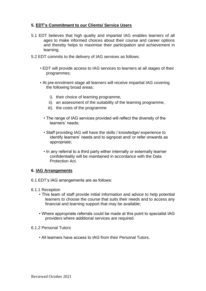## **5. EDT's Commitment to our Clients/ Service Users**

- 5.1 EDT believes that high quality and impartial IAG enables learners of all ages to make informed choices about their course and career options and thereby helps to maximise their participation and achievement in learning.
- 5.2 EDT commits to the delivery of IAG services as follows:
	- EDT will provide access to IAG services to learners at all stages of their programmes;
	- At pre-enrolment stage all learners will receive impartial IAG covering the following broad areas:
		- i). their choice of learning programme,
		- ii). an assessment of the suitability of the learning programme,
		- iii). the costs of the programme
		- The range of IAG services provided will reflect the diversity of the learners' needs;
		- Staff providing IAG will have the skills / knowledge/ experience to identify learners' needs and to signpost and/ or refer onwards as appropriate;
		- In any referral to a third party either internally or externally learner confidentiality will be maintained in accordance with the Data Protection Act.

### **6. IAG Arrangements**

- 6.1 EDT's IAG arrangements are as follows:
- 6.1.1 Reception
	- This team of staff provide initial information and advice to help potential learners to choose the course that suits their needs and to access any financial and learning support that may be available;
	- Where appropriate referrals could be made at this point to specialist IAG providers where additional services are required.

#### 6.1.2 Personal Tutors

• All learners have access to IAG from their Personal Tutors.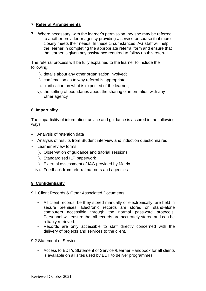## **7. Referral Arrangements**

7.1 Where necessary, with the learner's permission, he/ she may be referred to another provider or agency providing a service or course that more closely meets their needs. In these circumstances IAG staff will help the learner in completing the appropriate referral form and ensure that the learner is given any assistance required to follow up this referral.

The referral process will be fully explained to the learner to include the following:

- i). details about any other organisation involved;
- ii). confirmation as to why referral is appropriate;
- iii). clarification on what is expected of the learner;
- iv). the setting of boundaries about the sharing of information with any other agency

## **8. Impartiality.**

The impartiality of information, advice and guidance is assured in the following ways:

- Analysis of retention data
- Analysis of results from Student interview and induction questionnaires
- Learner review forms
	- i). Observation of guidance and tutorial sessions
	- ii). Standardised ILP paperwork
	- iii). External assessment of IAG provided by Matrix
	- iv). Feedback from referral partners and agencies

## **9. Confidentiality**

9.1 Client Records & Other Associated Documents

- All client records, be they stored manually or electronically, are held in secure premises. Electronic records are stored on stand-alone computers accessible through the normal password protocols. Personnel will ensure that all records are accurately stored and can be reliably retrieved.
- Records are only accessible to staff directly concerned with the delivery of projects and services to the client.
- 9.2 Statement of Service
	- Access to EDT's Statement of Service /Learner Handbook for all clients is available on all sites used by EDT to deliver programmes.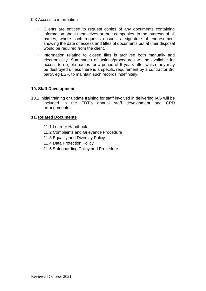- 9.3 Access to information
	- Clients are entitled to request copies of any documents containing information about themselves or their companies. In the interests of all parties, where such requests ensues, a signature of endorsement showing the date of access and titles of documents put at their disposal would be required from the client.
	- Information relating to closed files is archived both manually and electronically. Summaries of actions/procedures will be available for access to eligible parties for a period of 6 years after which they may be destroyed unless there is a specific requirement by a contractor 3rd party, eg ESF, to maintain such records indefinitely.

## **10. Staff Development**

10.1 Initial training or update training for staff involved in delivering IAG will be included in the EDT's annual staff development and CPD arrangements.

## **11. Related Documents**

- 11.1 Learner Handbook
- 11.2 Complaints and Grievance Procedure
- 11.3 Equality and Diversity Policy
- 11.4 Data Protection Policy
- 11.5 Safeguarding Policy and Procedure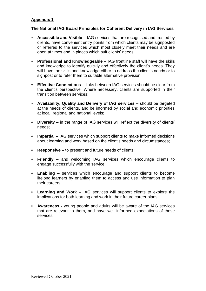## **Appendix 1**

### **The National IAG Board Principles for Coherent Delivery in IAG Services**

- **Accessible and Visible**  IAG services that are recognised and trusted by clients, have convenient entry points from which clients may be signposted or referred to the services which most closely meet their needs and are open at times and in places which suit clients' needs;
- **Professional and Knowledgeable –** IAG frontline staff will have the skills and knowledge to identify quickly and effectively the client's needs. They will have the skills and knowledge either to address the client's needs or to signpost or to refer them to suitable alternative provision;
- **Effective Connections –** links between IAG services should be clear from the client's perspective. Where necessary, clients are supported in their transition between services;
- **Availability, Quality and Delivery of IAG services –** should be targeted at the needs of clients, and be informed by social and economic priorities at local, regional and national levels;
- **Diversity –** in the range of IAG services will reflect the diversity of clients' needs;
- **Impartial –** IAG services which support clients to make informed decisions about learning and work based on the client's needs and circumstances;
- **Responsive –** to present and future needs of clients;
- **Friendly –** and welcoming IAG services which encourage clients to engage successfully with the service;
- **Enabling –** services which encourage and support clients to become lifelong learners by enabling them to access and use information to plan their careers;
- **Learning and Work –** IAG services will support clients to explore the implications for both learning and work in their future career plans;
- **Awareness -** young people and adults will be aware of the IAG services that are relevant to them, and have well informed expectations of those services.